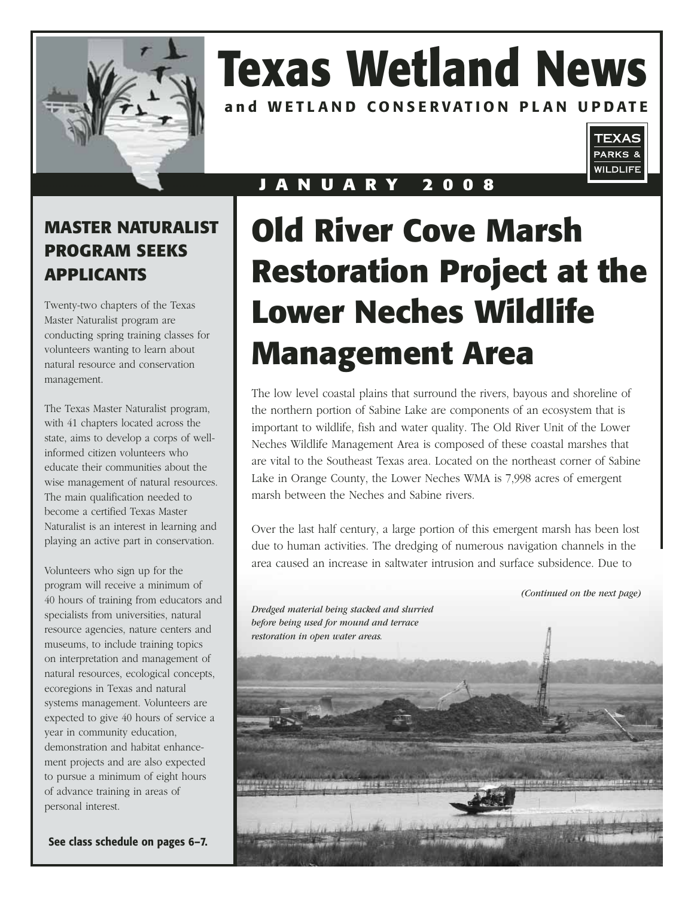

# **Texas Wetland News**

**and WETLAND CONSERVATION PLAN UPDATE** 



### **J A N U A R Y 2 0 0 8**

### **MASTER NATURALIST PROGRAM SEEKS APPLICANTS**

Twenty-two chapters of the Texas Master Naturalist program are conducting spring training classes for volunteers wanting to learn about natural resource and conservation management.

The Texas Master Naturalist program, with 41 chapters located across the state, aims to develop a corps of wellinformed citizen volunteers who educate their communities about the wise management of natural resources. The main qualification needed to become a certified Texas Master Naturalist is an interest in learning and playing an active part in conservation.

Volunteers who sign up for the program will receive a minimum of 40 hours of training from educators and specialists from universities, natural resource agencies, nature centers and museums, to include training topics on interpretation and management of natural resources, ecological concepts, ecoregions in Texas and natural systems management. Volunteers are expected to give 40 hours of service a year in community education, demonstration and habitat enhancement projects and are also expected to pursue a minimum of eight hours of advance training in areas of personal interest.

**See class schedule on pages 6–7.** 

## **Old River Cove Marsh Restoration Project at the Lower Neches Wildlife Management Area**

The low level coastal plains that surround the rivers, bayous and shoreline of the northern portion of Sabine Lake are components of an ecosystem that is important to wildlife, fish and water quality. The Old River Unit of the Lower Neches Wildlife Management Area is composed of these coastal marshes that are vital to the Southeast Texas area. Located on the northeast corner of Sabine Lake in Orange County, the Lower Neches WMA is 7,998 acres of emergent marsh between the Neches and Sabine rivers.

Over the last half century, a large portion of this emergent marsh has been lost due to human activities. The dredging of numerous navigation channels in the area caused an increase in saltwater intrusion and surface subsidence. Due to

*(Continued on the next page) Dredged material being stacked and slurried before being used for mound and terrace restoration in open water areas.*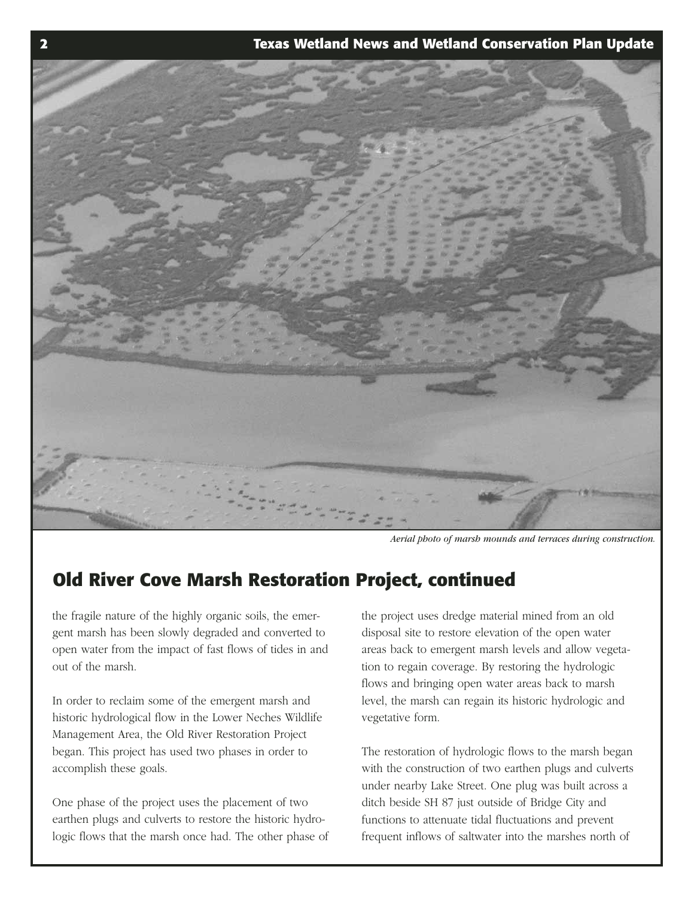

*Aerial photo of marsh mounds and terraces during construction.* 

### **Old River Cove Marsh Restoration Project, continued**

the fragile nature of the highly organic soils, the emergent marsh has been slowly degraded and converted to open water from the impact of fast flows of tides in and out of the marsh.

In order to reclaim some of the emergent marsh and historic hydrological flow in the Lower Neches Wildlife Management Area, the Old River Restoration Project began. This project has used two phases in order to accomplish these goals.

One phase of the project uses the placement of two earthen plugs and culverts to restore the historic hydrologic flows that the marsh once had. The other phase of the project uses dredge material mined from an old disposal site to restore elevation of the open water areas back to emergent marsh levels and allow vegetation to regain coverage. By restoring the hydrologic flows and bringing open water areas back to marsh level, the marsh can regain its historic hydrologic and vegetative form.

The restoration of hydrologic flows to the marsh began with the construction of two earthen plugs and culverts under nearby Lake Street. One plug was built across a ditch beside SH 87 just outside of Bridge City and functions to attenuate tidal fluctuations and prevent frequent inflows of saltwater into the marshes north of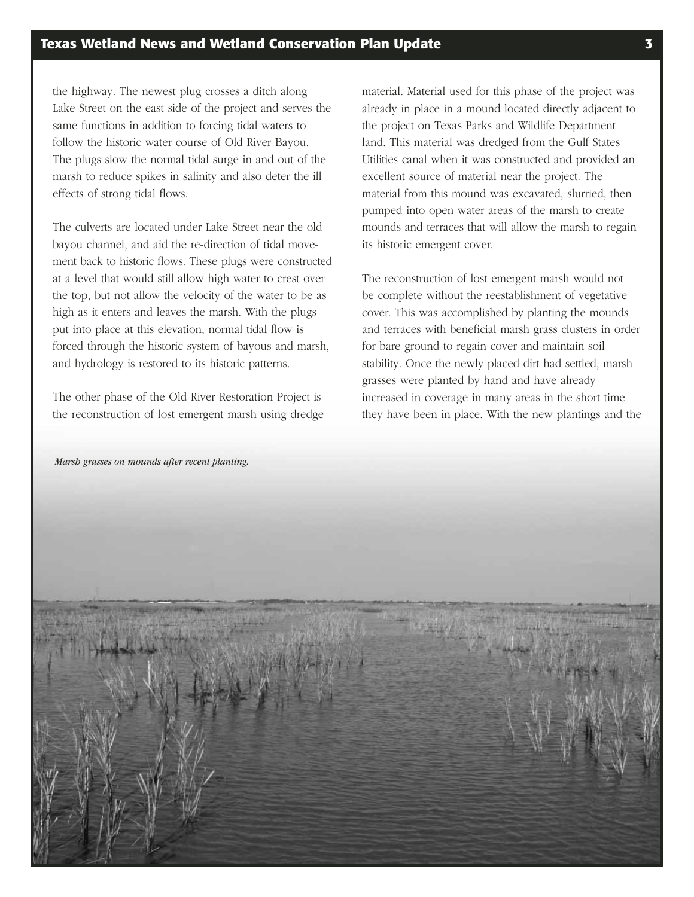the highway. The newest plug crosses a ditch along Lake Street on the east side of the project and serves the same functions in addition to forcing tidal waters to follow the historic water course of Old River Bayou. The plugs slow the normal tidal surge in and out of the marsh to reduce spikes in salinity and also deter the ill effects of strong tidal flows.

The culverts are located under Lake Street near the old bayou channel, and aid the re-direction of tidal movement back to historic flows. These plugs were constructed at a level that would still allow high water to crest over the top, but not allow the velocity of the water to be as high as it enters and leaves the marsh. With the plugs put into place at this elevation, normal tidal flow is forced through the historic system of bayous and marsh, and hydrology is restored to its historic patterns.

The other phase of the Old River Restoration Project is the reconstruction of lost emergent marsh using dredge

material. Material used for this phase of the project was already in place in a mound located directly adjacent to the project on Texas Parks and Wildlife Department land. This material was dredged from the Gulf States Utilities canal when it was constructed and provided an excellent source of material near the project. The material from this mound was excavated, slurried, then pumped into open water areas of the marsh to create mounds and terraces that will allow the marsh to regain its historic emergent cover.

The reconstruction of lost emergent marsh would not be complete without the reestablishment of vegetative cover. This was accomplished by planting the mounds and terraces with beneficial marsh grass clusters in order for bare ground to regain cover and maintain soil stability. Once the newly placed dirt had settled, marsh grasses were planted by hand and have already increased in coverage in many areas in the short time they have been in place. With the new plantings and the

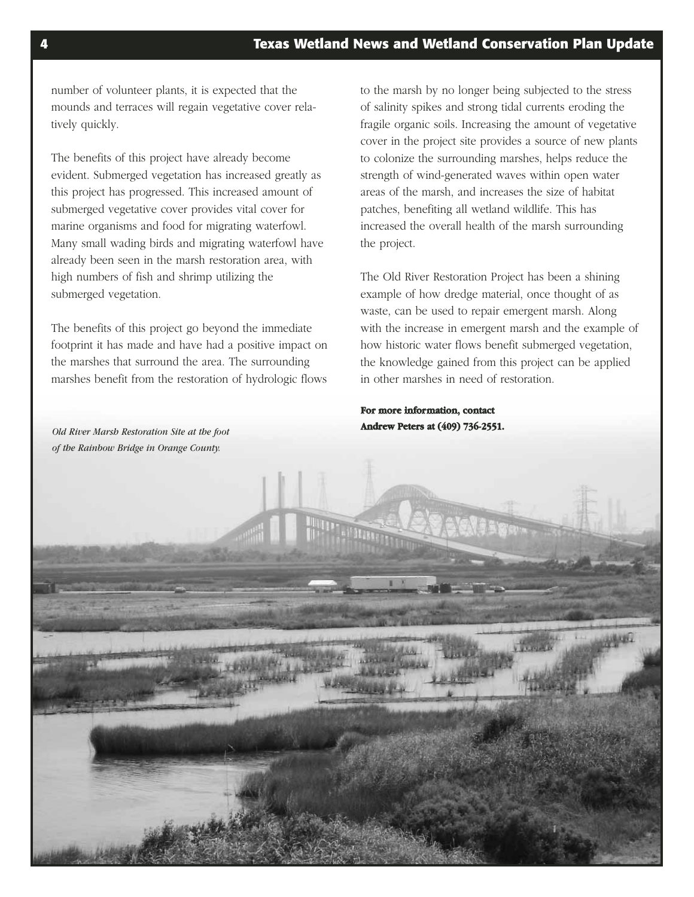number of volunteer plants, it is expected that the mounds and terraces will regain vegetative cover relatively quickly.

The benefits of this project have already become evident. Submerged vegetation has increased greatly as this project has progressed. This increased amount of submerged vegetative cover provides vital cover for marine organisms and food for migrating waterfowl. Many small wading birds and migrating waterfowl have already been seen in the marsh restoration area, with high numbers of fish and shrimp utilizing the submerged vegetation.

The benefits of this project go beyond the immediate footprint it has made and have had a positive impact on the marshes that surround the area. The surrounding marshes benefit from the restoration of hydrologic flows to the marsh by no longer being subjected to the stress of salinity spikes and strong tidal currents eroding the fragile organic soils. Increasing the amount of vegetative cover in the project site provides a source of new plants to colonize the surrounding marshes, helps reduce the strength of wind-generated waves within open water areas of the marsh, and increases the size of habitat patches, benefiting all wetland wildlife. This has increased the overall health of the marsh surrounding the project.

The Old River Restoration Project has been a shining example of how dredge material, once thought of as waste, can be used to repair emergent marsh. Along with the increase in emergent marsh and the example of how historic water flows benefit submerged vegetation, the knowledge gained from this project can be applied in other marshes in need of restoration.

**For more information, contact Andrew Peters at (409) 736-2551.**

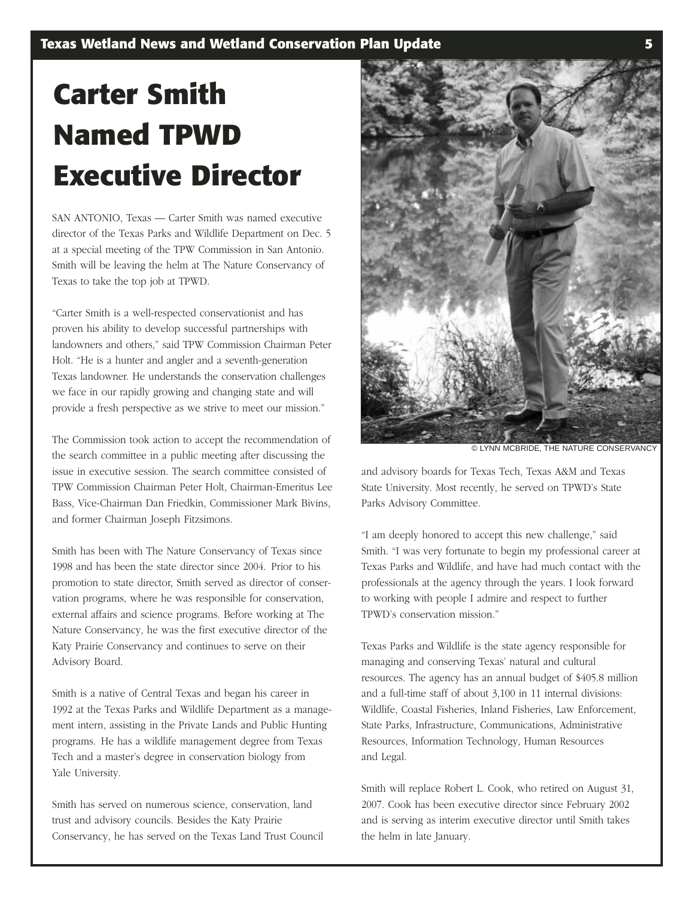## **Carter Smith Named TPWD Executive Director**

SAN ANTONIO, Texas — Carter Smith was named executive director of the Texas Parks and Wildlife Department on Dec. 5 at a special meeting of the TPW Commission in San Antonio. Smith will be leaving the helm at The Nature Conservancy of Texas to take the top job at TPWD.

"Carter Smith is a well-respected conservationist and has proven his ability to develop successful partnerships with landowners and others," said TPW Commission Chairman Peter Holt. "He is a hunter and angler and a seventh-generation Texas landowner. He understands the conservation challenges we face in our rapidly growing and changing state and will provide a fresh perspective as we strive to meet our mission."

The Commission took action to accept the recommendation of the search committee in a public meeting after discussing the issue in executive session. The search committee consisted of TPW Commission Chairman Peter Holt, Chairman-Emeritus Lee Bass, Vice-Chairman Dan Friedkin, Commissioner Mark Bivins, and former Chairman Joseph Fitzsimons.

Smith has been with The Nature Conservancy of Texas since 1998 and has been the state director since 2004. Prior to his promotion to state director, Smith served as director of conservation programs, where he was responsible for conservation, external affairs and science programs. Before working at The Nature Conservancy, he was the first executive director of the Katy Prairie Conservancy and continues to serve on their Advisory Board.

Smith is a native of Central Texas and began his career in 1992 at the Texas Parks and Wildlife Department as a management intern, assisting in the Private Lands and Public Hunting programs. He has a wildlife management degree from Texas Tech and a master's degree in conservation biology from Yale University.

Smith has served on numerous science, conservation, land trust and advisory councils. Besides the Katy Prairie Conservancy, he has served on the Texas Land Trust Council



© LYNN MCBRIDE, THE NATURE CONSERVANCY

and advisory boards for Texas Tech, Texas A&M and Texas State University. Most recently, he served on TPWD's State Parks Advisory Committee.

"I am deeply honored to accept this new challenge," said Smith. "I was very fortunate to begin my professional career at Texas Parks and Wildlife, and have had much contact with the professionals at the agency through the years. I look forward to working with people I admire and respect to further TPWD's conservation mission."

Texas Parks and Wildlife is the state agency responsible for managing and conserving Texas' natural and cultural resources. The agency has an annual budget of \$405.8 million and a full-time staff of about 3,100 in 11 internal divisions: Wildlife, Coastal Fisheries, Inland Fisheries, Law Enforcement, State Parks, Infrastructure, Communications, Administrative Resources, Information Technology, Human Resources and Legal.

Smith will replace Robert L. Cook, who retired on August 31, 2007. Cook has been executive director since February 2002 and is serving as interim executive director until Smith takes the helm in late January.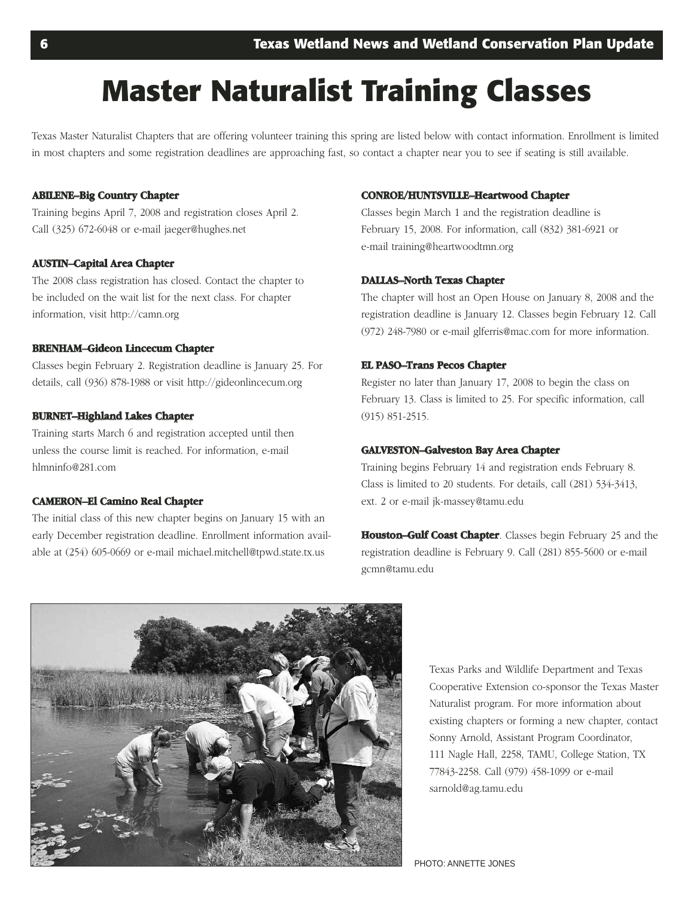## **Master Naturalist Training Classes**

Texas Master Naturalist Chapters that are offering volunteer training this spring are listed below with contact information. Enrollment is limited in most chapters and some registration deadlines are approaching fast, so contact a chapter near you to see if seating is still available.

#### **ABILENE–Big Country Chapter**

Training begins April 7, 2008 and registration closes April 2. Call (325) 672-6048 or e-mail jaeger@hughes.net

#### **AUSTIN–Capital Area Chapter**

The 2008 class registration has closed. Contact the chapter to be included on the wait list for the next class. For chapter information, visit http://camn.org

#### **BRENHAM–Gideon Lincecum Chapter**

Classes begin February 2. Registration deadline is January 25. For details, call (936) 878-1988 or visit http://gideonlincecum.org

#### **BURNET–Highland Lakes Chapter**

Training starts March 6 and registration accepted until then unless the course limit is reached. For information, e-mail hlmninfo@281.com

#### **CAMERON–El Camino Real Chapter**

The initial class of this new chapter begins on January 15 with an early December registration deadline. Enrollment information available at (254) 605-0669 or e-mail michael.mitchell@tpwd.state.tx.us

#### **CONROE/HUNTSVILLE–Heartwood Chapter**

Classes begin March 1 and the registration deadline is February 15, 2008. For information, call (832) 381-6921 or e-mail training@heartwoodtmn.org

#### **DALLAS–North Texas Chapter**

The chapter will host an Open House on January 8, 2008 and the registration deadline is January 12. Classes begin February 12. Call (972) 248-7980 or e-mail glferris@mac.com for more information.

#### **EL PASO–Trans Pecos Chapter**

Register no later than January 17, 2008 to begin the class on February 13. Class is limited to 25. For specific information, call (915) 851-2515.

#### **GALVESTON–Galveston Bay Area Chapter**

Training begins February 14 and registration ends February 8. Class is limited to 20 students. For details, call (281) 534-3413, ext. 2 or e-mail jk-massey@tamu.edu

**Houston–Gulf Coast Chapter** . Classes begin February 25 and the registration deadline is February 9. Call (281) 855-5600 or e-mail gcmn@tamu.edu



Texas Parks and Wildlife Department and Texas Cooperative Extension co-sponsor the Texas Master Naturalist program. For more information about existing chapters or forming a new chapter, contact Sonny Arnold, Assistant Program Coordinator, 111 Nagle Hall, 2258, TAMU, College Station, TX 77843-2258. Call (979) 458-1099 or e-mail sarnold@ag.tamu.edu

PHOTO: ANNETTE JONES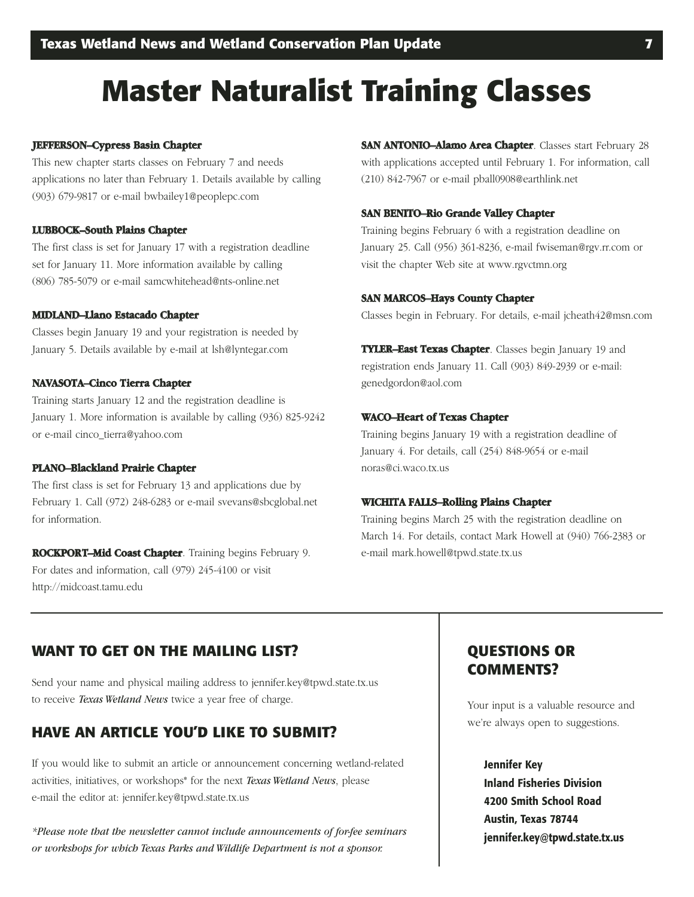## **Master Naturalist Training Classes**

#### **JEFFERSON–Cypress Basin Chapter**

This new chapter starts classes on February 7 and needs applications no later than February 1. Details available by calling (903) 679-9817 or e-mail bwbailey1@peoplepc.com

#### **LUBBOCK–South Plains Chapter**

The first class is set for January 17 with a registration deadline set for January 11. More information available by calling (806) 785-5079 or e-mail samcwhitehead@nts-online.net

#### **MIDLAND–L al no Estacado Chapter MIDLAND–Llano**

Classes begin January 19 and your registration is needed by January 5. Details available by e-mail at lsh@lyntegar.com

#### **NAVASOTA–Cinco Tierra Chapter**

Training starts January 12 and the registration deadline is January 1. More information is available by calling (936) 825-9242 or e-mail cinco\_tierra@yahoo.com

#### **PLANO–Blackland Prairie Chapter**

The first class is set for February 13 and applications due by February 1. Call (972) 248-6283 or e-mail svevans@sbcglobal.net for information.

**ROCKPORT–Mid Coast Chapter**. Training begins February 9. For dates and information, call (979) 245-4100 or visit http://midcoast.tamu.edu

**SAN ANTONIO–Alamo Area Chapter** . Classes start February 28 with applications accepted until February 1. For information, call (210) 842-7967 or e-mail pball0908@earthlink.net

#### **SAN BENITO–Rio Grande Valley Chapter**

Training begins February 6 with a registration deadline on January 25. Call (956) 361-8236, e-mail fwiseman@rgv.rr.com or visit the chapter Web site at www.rgvctmn.org

#### **SAN MARCOS–Hays County Chapter**

Classes begin in February. For details, e-mail jcheath42@msn.com

**TYLER–East Texas Chapter** . Classes begin January 19 and registration ends January 11. Call (903) 849-2939 or e-mail: genedgordon@aol.com

#### **WACO–Heart of Texas Chapter**

Training begins January 19 with a registration deadline of January 4. For details, call (254) 848-9654 or e-mail noras@ci.waco.tx.us

#### **WICHITA FALLS–Rolling Plains Chapter**

Training begins March 25 with the registration deadline on March 14. For details, contact Mark Howell at (940) 766-2383 or e-mail mark.howell@tpwd.state.tx.us

#### **WANT TO GET ON THE MAILING LIST?**

Send your name and physical mailing address to jennifer.key@tpwd.state.tx.us to receive *Texas Wetland News* twice a year free of charge.

#### **HAVE AN ARTICLE YOU'D LIKE TO SUBMIT?**

If you would like to submit an article or announcement concerning wetland-related activities, initiatives, or workshops\* for the next *Texas Wetland News*, please e-mail the editor at: jennifer.key@tpwd.state.tx.us

*\*Please note that the newsletter cannot include announcements of for-fee seminars or workshops for which Texas Parks and Wildlife Department is not a sponsor.* 

### **QUESTIONS OR COMMENTS?**

Your input is a valuable resource and we're always open to suggestions.

#### **Jennifer Key**

**Inland Fisheries Division 4200 Smith School Road Austin, Texas 78744 jennifer.key@tpwd.state.tx.us**